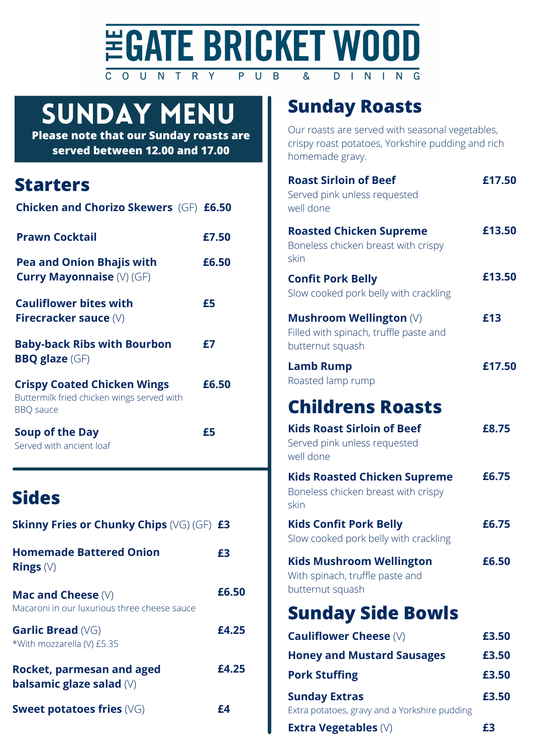### **NOOD WATE BRICKET WOOD**  $C$   $O$   $U$ N T R Y  $U$  B & P D I N I N G

SUNDAY MENU

**Please note that our Sunday roasts are served between 12.00 and 17.00**

## **Starters**

| <b>Chicken and Chorizo Skewers (GF) £6.50</b>                                                        |       |
|------------------------------------------------------------------------------------------------------|-------|
| <b>Prawn Cocktail</b>                                                                                | £7.50 |
| <b>Pea and Onion Bhajis with</b><br><b>Curry Mayonnaise (V) (GF)</b>                                 | £6.50 |
| <b>Cauliflower bites with</b><br>Firecracker sauce $(V)$                                             | £5    |
| <b>Baby-back Ribs with Bourbon</b><br><b>BBQ glaze</b> $(GF)$                                        | £7    |
| <b>Crispy Coated Chicken Wings</b><br>Buttermilk fried chicken wings served with<br><b>BBQ</b> sauce | £6.50 |
| Soup of the Day<br>Served with ancient loaf                                                          | £5    |

## **Sides**

| <b>Skinny Fries or Chunky Chips (VG) (GF) £3</b>                        |       |
|-------------------------------------------------------------------------|-------|
| <b>Homemade Battered Onion</b><br><b>Rings</b> $(V)$                    | £3    |
| Mac and Cheese $(\vee)$<br>Macaroni in our luxurious three cheese sauce | £6.50 |
| <b>Garlic Bread (VG)</b><br>*With mozzarella (V) £5.35                  | £4.25 |
| Rocket, parmesan and aged<br>balsamic glaze salad $(V)$                 | £4.25 |
| Sweet potatoes fries $(VG)$                                             | £4    |

# **Sunday Roasts**

Our roasts are served with seasonal vegetables, crispy roast potatoes, Yorkshire pudding and rich homemade gravy.

| <b>Roast Sirloin of Beef</b><br>Served pink unless requested<br>well done                    | £17.50 |
|----------------------------------------------------------------------------------------------|--------|
| <b>Roasted Chicken Supreme</b><br>Boneless chicken breast with crispy<br>skin                | £13.50 |
| <b>Confit Pork Belly</b><br>Slow cooked pork belly with crackling                            | £13.50 |
| <b>Mushroom Wellington (V)</b><br>Filled with spinach, truffle paste and<br>butternut squash | £13    |
| <b>Lamb Rump</b><br>Roasted lamp rump                                                        | £17.50 |
| <b>Childrens Roasts</b>                                                                      |        |
| <b>Kids Roast Sirloin of Beef</b><br>Served pink unless requested<br>well done               | £8.75  |
| <b>Kids Roasted Chicken Supreme</b><br>Boneless chicken breast with crispy<br>skin           | £6.75  |
| <b>Kids Confit Pork Belly</b><br>Slow cooked pork belly with crackling                       | £6.75  |
| <b>Kids Mushroom Wellington</b><br>With spinach, truffle paste and<br>butternut squash       | £6.50  |
| <b>Sunday Side Bowls</b>                                                                     |        |
| <b>Cauliflower Cheese (V)</b>                                                                | £3.50  |
| <b>Honey and Mustard Sausages</b>                                                            | £3.50  |
| <b>Pork Stuffing</b>                                                                         | £3.50  |
| <b>Sunday Extras</b><br>Extra potatoes, gravy and a Yorkshire pudding                        | £3.50  |
| <b>Extra Vegetables (V)</b>                                                                  | £3     |